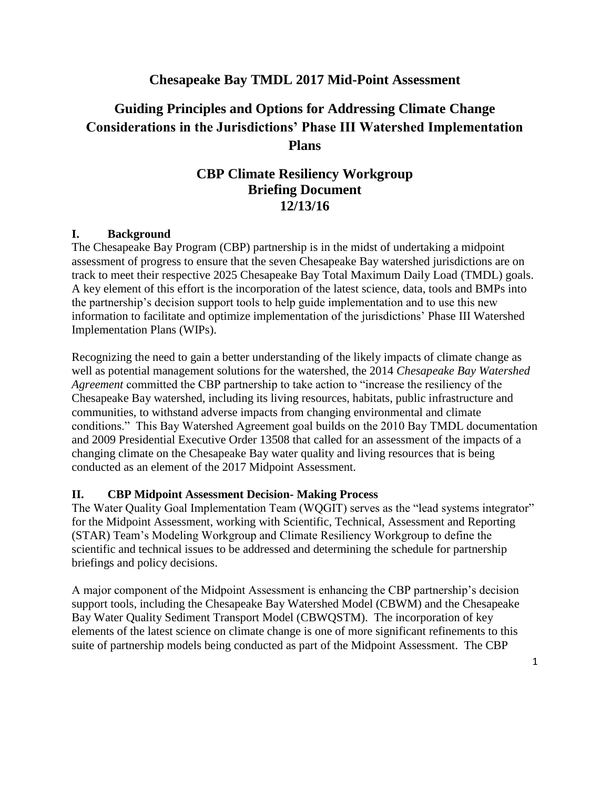## **Chesapeake Bay TMDL 2017 Mid-Point Assessment**

# **Guiding Principles and Options for Addressing Climate Change Considerations in the Jurisdictions' Phase III Watershed Implementation Plans**

# **CBP Climate Resiliency Workgroup Briefing Document 12/13/16**

#### **I. Background**

The Chesapeake Bay Program (CBP) partnership is in the midst of undertaking a midpoint assessment of progress to ensure that the seven Chesapeake Bay watershed jurisdictions are on track to meet their respective 2025 Chesapeake Bay Total Maximum Daily Load (TMDL) goals. A key element of this effort is the incorporation of the latest science, data, tools and BMPs into the partnership's decision support tools to help guide implementation and to use this new information to facilitate and optimize implementation of the jurisdictions' Phase III Watershed Implementation Plans (WIPs).

Recognizing the need to gain a better understanding of the likely impacts of climate change as well as potential management solutions for the watershed, the 2014 *Chesapeake Bay Watershed Agreement* committed the CBP partnership to take action to "increase the resiliency of the Chesapeake Bay watershed, including its living resources, habitats, public infrastructure and communities, to withstand adverse impacts from changing environmental and climate conditions." This Bay Watershed Agreement goal builds on the 2010 Bay TMDL documentation and 2009 Presidential Executive Order 13508 that called for an assessment of the impacts of a changing climate on the Chesapeake Bay water quality and living resources that is being conducted as an element of the 2017 Midpoint Assessment.

#### **II. CBP Midpoint Assessment Decision- Making Process**

The Water Quality Goal Implementation Team (WQGIT) serves as the "lead systems integrator" for the Midpoint Assessment, working with Scientific, Technical, Assessment and Reporting (STAR) Team's Modeling Workgroup and Climate Resiliency Workgroup to define the scientific and technical issues to be addressed and determining the schedule for partnership briefings and policy decisions.

A major component of the Midpoint Assessment is enhancing the CBP partnership's decision support tools, including the Chesapeake Bay Watershed Model (CBWM) and the Chesapeake Bay Water Quality Sediment Transport Model (CBWQSTM). The incorporation of key elements of the latest science on climate change is one of more significant refinements to this suite of partnership models being conducted as part of the Midpoint Assessment. The CBP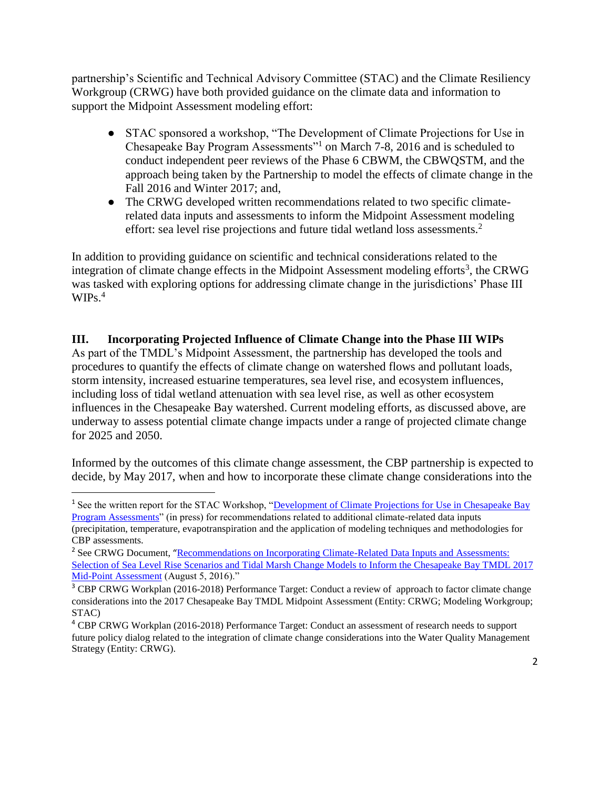partnership's Scientific and Technical Advisory Committee (STAC) and the Climate Resiliency Workgroup (CRWG) have both provided guidance on the climate data and information to support the Midpoint Assessment modeling effort:

- STAC sponsored a workshop, "The Development of Climate Projections for Use in Chesapeake Bay Program Assessments"<sup>1</sup> on March 7-8, 2016 and is scheduled to conduct independent peer reviews of the Phase 6 CBWM, the CBWQSTM, and the approach being taken by the Partnership to model the effects of climate change in the Fall 2016 and Winter 2017; and,
- The CRWG developed written recommendations related to two specific climaterelated data inputs and assessments to inform the Midpoint Assessment modeling effort: sea level rise projections and future tidal wetland loss assessments.<sup>2</sup>

In addition to providing guidance on scientific and technical considerations related to the integration of climate change effects in the Midpoint Assessment modeling efforts<sup>3</sup>, the CRWG was tasked with exploring options for addressing climate change in the jurisdictions' Phase III  $WIPs.<sup>4</sup>$ 

## **III. Incorporating Projected Influence of Climate Change into the Phase III WIPs**

As part of the TMDL's Midpoint Assessment, the partnership has developed the tools and procedures to quantify the effects of climate change on watershed flows and pollutant loads, storm intensity, increased estuarine temperatures, sea level rise, and ecosystem influences, including loss of tidal wetland attenuation with sea level rise, as well as other ecosystem influences in the Chesapeake Bay watershed. Current modeling efforts, as discussed above, are underway to assess potential climate change impacts under a range of projected climate change for 2025 and 2050.

Informed by the outcomes of this climate change assessment, the CBP partnership is expected to decide, by May 2017, when and how to incorporate these climate change considerations into the

l

<sup>&</sup>lt;sup>1</sup> See the written report for the STAC Workshop, "Development of Climate Projections for Use in Chesapeake Bay [Program Assessments"](http://www.chesapeake.org/stac/workshop.php?activity_id=258) (in press) for recommendations related to additional climate-related data inputs (precipitation, temperature, evapotranspiration and the application of modeling techniques and methodologies for CBP assessments.

<sup>&</sup>lt;sup>2</sup> See CRWG Document, "Recommendations on Incorporating Climate-Related Data Inputs and Assessments: [Selection of Sea Level Rise Scenarios and Tidal Marsh Change Models to Inform the Chesapeake Bay TMDL 2017](http://www.chesapeakebay.net/channel_files/24216/crwg_mid_point_assessment_climate_data_recommendations_final_080516.pdf)  [Mid-Point Assessment](http://www.chesapeakebay.net/channel_files/24216/crwg_mid_point_assessment_climate_data_recommendations_final_080516.pdf) (August 5, 2016)."

<sup>&</sup>lt;sup>3</sup> CBP CRWG Workplan (2016-2018) Performance Target: Conduct a review of approach to factor climate change considerations into the 2017 Chesapeake Bay TMDL Midpoint Assessment (Entity: CRWG; Modeling Workgroup; STAC)

<sup>4</sup> CBP CRWG Workplan (2016-2018) Performance Target: Conduct an assessment of research needs to support future policy dialog related to the integration of climate change considerations into the Water Quality Management Strategy (Entity: CRWG).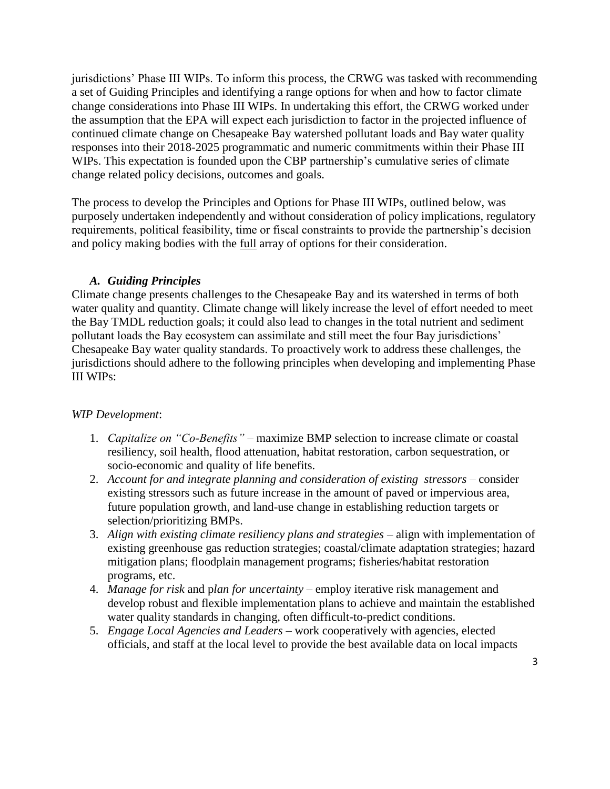jurisdictions' Phase III WIPs. To inform this process, the CRWG was tasked with recommending a set of Guiding Principles and identifying a range options for when and how to factor climate change considerations into Phase III WIPs. In undertaking this effort, the CRWG worked under the assumption that the EPA will expect each jurisdiction to factor in the projected influence of continued climate change on Chesapeake Bay watershed pollutant loads and Bay water quality responses into their 2018-2025 programmatic and numeric commitments within their Phase III WIPs. This expectation is founded upon the CBP partnership's cumulative series of climate change related policy decisions, outcomes and goals.

The process to develop the Principles and Options for Phase III WIPs, outlined below, was purposely undertaken independently and without consideration of policy implications, regulatory requirements, political feasibility, time or fiscal constraints to provide the partnership's decision and policy making bodies with the full array of options for their consideration.

### *A. Guiding Principles*

Climate change presents challenges to the Chesapeake Bay and its watershed in terms of both water quality and quantity. Climate change will likely increase the level of effort needed to meet the Bay TMDL reduction goals; it could also lead to changes in the total nutrient and sediment pollutant loads the Bay ecosystem can assimilate and still meet the four Bay jurisdictions' Chesapeake Bay water quality standards. To proactively work to address these challenges, the jurisdictions should adhere to the following principles when developing and implementing Phase III WIPs:

### *WIP Development*:

- 1. *Capitalize on "Co-Benefits"* maximize BMP selection to increase climate or coastal resiliency, soil health, flood attenuation, habitat restoration, carbon sequestration, or socio-economic and quality of life benefits.
- 2. *Account for and integrate planning and consideration of existing stressors* consider existing stressors such as future increase in the amount of paved or impervious area, future population growth, and land-use change in establishing reduction targets or selection/prioritizing BMPs.
- 3. *Align with existing climate resiliency plans and strategies* align with implementation of existing greenhouse gas reduction strategies; coastal/climate adaptation strategies; hazard mitigation plans; floodplain management programs; fisheries/habitat restoration programs, etc.
- 4. *Manage for risk* and p*lan for uncertainty* employ iterative risk management and develop robust and flexible implementation plans to achieve and maintain the established water quality standards in changing, often difficult-to-predict conditions.
- 5. *Engage Local Agencies and Leaders* work cooperatively with agencies, elected officials, and staff at the local level to provide the best available data on local impacts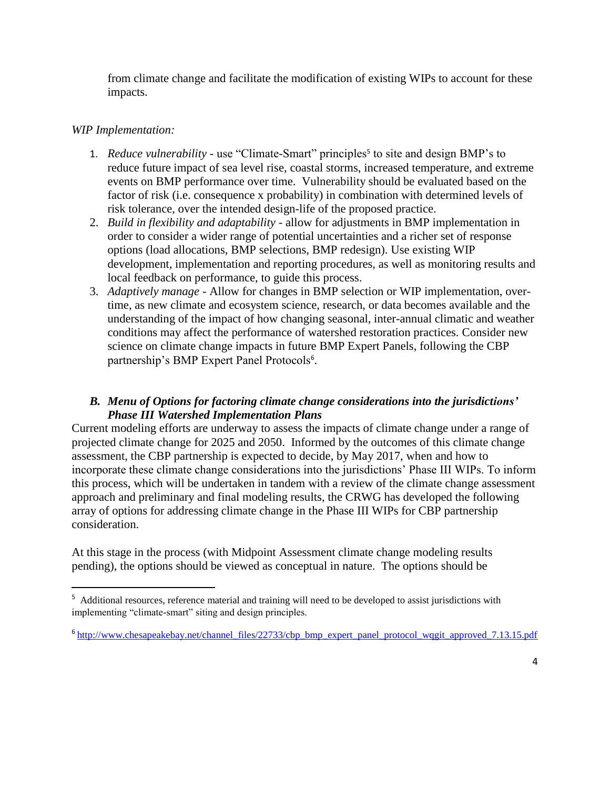from climate change and facilitate the modification of existing WIPs to account for these impacts.

#### *WIP Implementation:*

 $\overline{\phantom{a}}$ 

- 1. *Reduce vulnerability* use "Climate-Smart" principles<sup>5</sup> to site and design BMP's to reduce future impact of sea level rise, coastal storms, increased temperature, and extreme events on BMP performance over time. Vulnerability should be evaluated based on the factor of risk (i.e. consequence x probability) in combination with determined levels of risk tolerance, over the intended design-life of the proposed practice.
- 2. *Build in flexibility and adaptability* allow for adjustments in BMP implementation in order to consider a wider range of potential uncertainties and a richer set of response options (load allocations, BMP selections, BMP redesign). Use existing WIP development, implementation and reporting procedures, as well as monitoring results and local feedback on performance, to guide this process.
- 3. *Adaptively manage* Allow for changes in BMP selection or WIP implementation, overtime, as new climate and ecosystem science, research, or data becomes available and the understanding of the impact of how changing seasonal, inter-annual climatic and weather conditions may affect the performance of watershed restoration practices. Consider new science on climate change impacts in future BMP Expert Panels, following the CBP partnership's BMP Expert Panel Protocols<sup>6</sup>.

### *B. Menu of Options for factoring climate change considerations into the jurisdictions' Phase III Watershed Implementation Plans*

Current modeling efforts are underway to assess the impacts of climate change under a range of projected climate change for 2025 and 2050. Informed by the outcomes of this climate change assessment, the CBP partnership is expected to decide, by May 2017, when and how to incorporate these climate change considerations into the jurisdictions' Phase III WIPs. To inform this process, which will be undertaken in tandem with a review of the climate change assessment approach and preliminary and final modeling results, the CRWG has developed the following array of options for addressing climate change in the Phase III WIPs for CBP partnership consideration.

At this stage in the process (with Midpoint Assessment climate change modeling results pending), the options should be viewed as conceptual in nature. The options should be

<sup>&</sup>lt;sup>5</sup> Additional resources, reference material and training will need to be developed to assist jurisdictions with implementing "climate-smart" siting and design principles.

<sup>&</sup>lt;sup>6</sup>http://www.chesapeakebay.net/channel\_files/22733/cbp\_bmp\_expert\_panel\_protocol\_wqgit\_approved\_7.13.15.pdf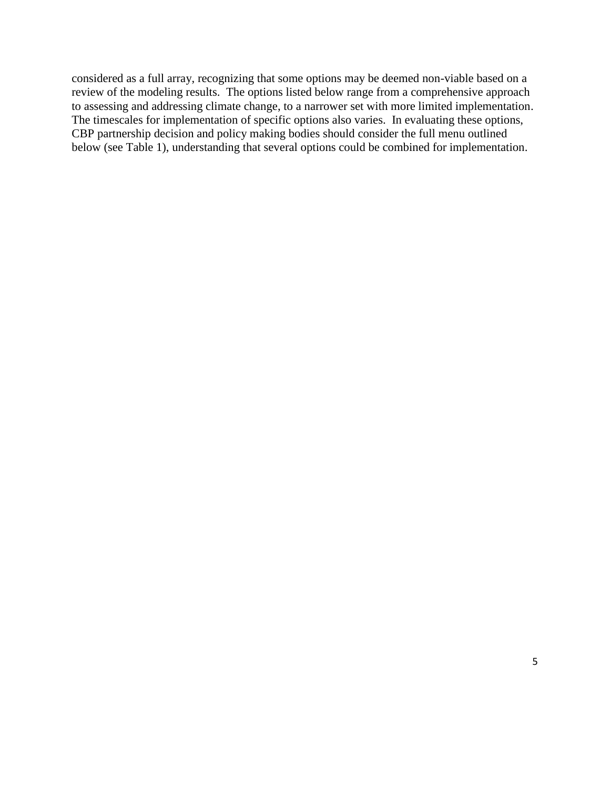considered as a full array, recognizing that some options may be deemed non-viable based on a review of the modeling results. The options listed below range from a comprehensive approach to assessing and addressing climate change, to a narrower set with more limited implementation. The timescales for implementation of specific options also varies. In evaluating these options, CBP partnership decision and policy making bodies should consider the full menu outlined below (see Table 1), understanding that several options could be combined for implementation.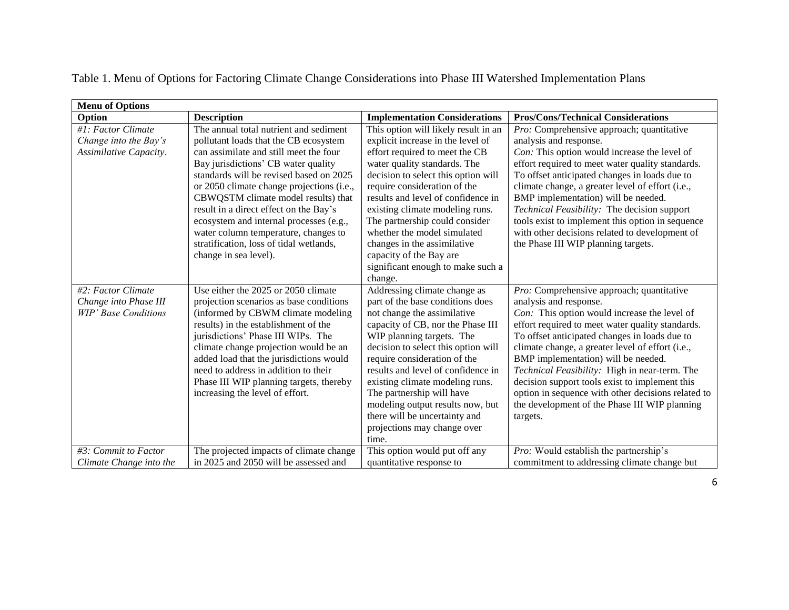| <b>Menu of Options</b>      |                                           |                                      |                                                    |
|-----------------------------|-------------------------------------------|--------------------------------------|----------------------------------------------------|
| Option                      | <b>Description</b>                        | <b>Implementation Considerations</b> | <b>Pros/Cons/Technical Considerations</b>          |
| #1: Factor Climate          | The annual total nutrient and sediment    | This option will likely result in an | Pro: Comprehensive approach; quantitative          |
| Change into the Bay's       | pollutant loads that the CB ecosystem     | explicit increase in the level of    | analysis and response.                             |
| Assimilative Capacity.      | can assimilate and still meet the four    | effort required to meet the CB       | Con: This option would increase the level of       |
|                             | Bay jurisdictions' CB water quality       | water quality standards. The         | effort required to meet water quality standards.   |
|                             | standards will be revised based on 2025   | decision to select this option will  | To offset anticipated changes in loads due to      |
|                             | or 2050 climate change projections (i.e., | require consideration of the         | climate change, a greater level of effort (i.e.,   |
|                             | CBWQSTM climate model results) that       | results and level of confidence in   | BMP implementation) will be needed.                |
|                             | result in a direct effect on the Bay's    | existing climate modeling runs.      | Technical Feasibility: The decision support        |
|                             | ecosystem and internal processes (e.g.,   | The partnership could consider       | tools exist to implement this option in sequence   |
|                             | water column temperature, changes to      | whether the model simulated          | with other decisions related to development of     |
|                             | stratification, loss of tidal wetlands,   | changes in the assimilative          | the Phase III WIP planning targets.                |
|                             | change in sea level).                     | capacity of the Bay are              |                                                    |
|                             |                                           | significant enough to make such a    |                                                    |
|                             |                                           | change.                              |                                                    |
| #2: Factor Climate          | Use either the 2025 or 2050 climate       | Addressing climate change as         | Pro: Comprehensive approach; quantitative          |
| Change into Phase III       | projection scenarios as base conditions   | part of the base conditions does     | analysis and response.                             |
| <b>WIP' Base Conditions</b> | (informed by CBWM climate modeling        | not change the assimilative          | Con: This option would increase the level of       |
|                             | results) in the establishment of the      | capacity of CB, nor the Phase III    | effort required to meet water quality standards.   |
|                             | jurisdictions' Phase III WIPs. The        | WIP planning targets. The            | To offset anticipated changes in loads due to      |
|                             | climate change projection would be an     | decision to select this option will  | climate change, a greater level of effort (i.e.,   |
|                             | added load that the jurisdictions would   | require consideration of the         | BMP implementation) will be needed.                |
|                             | need to address in addition to their      | results and level of confidence in   | Technical Feasibility: High in near-term. The      |
|                             | Phase III WIP planning targets, thereby   | existing climate modeling runs.      | decision support tools exist to implement this     |
|                             | increasing the level of effort.           | The partnership will have            | option in sequence with other decisions related to |
|                             |                                           | modeling output results now, but     | the development of the Phase III WIP planning      |
|                             |                                           | there will be uncertainty and        | targets.                                           |
|                             |                                           | projections may change over          |                                                    |
|                             |                                           | time.                                |                                                    |
| #3: Commit to Factor        | The projected impacts of climate change   | This option would put off any        | Pro: Would establish the partnership's             |
| Climate Change into the     | in 2025 and 2050 will be assessed and     | quantitative response to             | commitment to addressing climate change but        |

Table 1. Menu of Options for Factoring Climate Change Considerations into Phase III Watershed Implementation Plans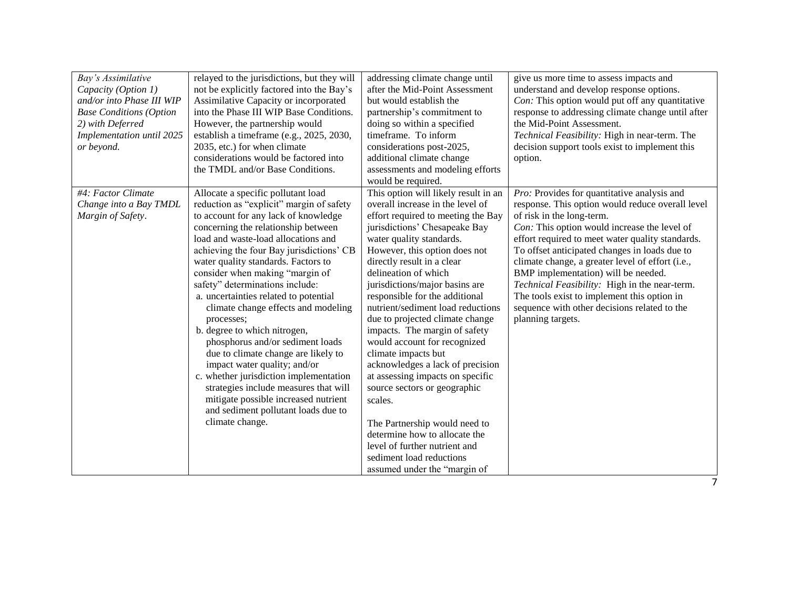| Bay's Assimilative<br>Capacity (Option 1)<br>and/or into Phase III WIP<br><b>Base Conditions (Option</b><br>2) with Deferred<br>Implementation until 2025<br>or beyond. | relayed to the jurisdictions, but they will<br>not be explicitly factored into the Bay's<br>Assimilative Capacity or incorporated<br>into the Phase III WIP Base Conditions.<br>However, the partnership would<br>establish a timeframe (e.g., 2025, 2030,<br>2035, etc.) for when climate<br>considerations would be factored into<br>the TMDL and/or Base Conditions.                                                                                                                                                                                                                                                                                                                                                                                                                     | addressing climate change until<br>after the Mid-Point Assessment<br>but would establish the<br>partnership's commitment to<br>doing so within a specified<br>timeframe. To inform<br>considerations post-2025,<br>additional climate change<br>assessments and modeling efforts<br>would be required.                                                                                                                                                                                                                                                                                                                                                                                                                                                                                   | give us more time to assess impacts and<br>understand and develop response options.<br>Con: This option would put off any quantitative<br>response to addressing climate change until after<br>the Mid-Point Assessment.<br>Technical Feasibility: High in near-term. The<br>decision support tools exist to implement this<br>option.                                                                                                                                                                                                            |
|-------------------------------------------------------------------------------------------------------------------------------------------------------------------------|---------------------------------------------------------------------------------------------------------------------------------------------------------------------------------------------------------------------------------------------------------------------------------------------------------------------------------------------------------------------------------------------------------------------------------------------------------------------------------------------------------------------------------------------------------------------------------------------------------------------------------------------------------------------------------------------------------------------------------------------------------------------------------------------|------------------------------------------------------------------------------------------------------------------------------------------------------------------------------------------------------------------------------------------------------------------------------------------------------------------------------------------------------------------------------------------------------------------------------------------------------------------------------------------------------------------------------------------------------------------------------------------------------------------------------------------------------------------------------------------------------------------------------------------------------------------------------------------|---------------------------------------------------------------------------------------------------------------------------------------------------------------------------------------------------------------------------------------------------------------------------------------------------------------------------------------------------------------------------------------------------------------------------------------------------------------------------------------------------------------------------------------------------|
| #4: Factor Climate<br>Change into a Bay TMDL<br>Margin of Safety.                                                                                                       | Allocate a specific pollutant load<br>reduction as "explicit" margin of safety<br>to account for any lack of knowledge<br>concerning the relationship between<br>load and waste-load allocations and<br>achieving the four Bay jurisdictions' CB<br>water quality standards. Factors to<br>consider when making "margin of<br>safety" determinations include:<br>a. uncertainties related to potential<br>climate change effects and modeling<br>processes;<br>b. degree to which nitrogen,<br>phosphorus and/or sediment loads<br>due to climate change are likely to<br>impact water quality; and/or<br>c. whether jurisdiction implementation<br>strategies include measures that will<br>mitigate possible increased nutrient<br>and sediment pollutant loads due to<br>climate change. | This option will likely result in an<br>overall increase in the level of<br>effort required to meeting the Bay<br>jurisdictions' Chesapeake Bay<br>water quality standards.<br>However, this option does not<br>directly result in a clear<br>delineation of which<br>jurisdictions/major basins are<br>responsible for the additional<br>nutrient/sediment load reductions<br>due to projected climate change<br>impacts. The margin of safety<br>would account for recognized<br>climate impacts but<br>acknowledges a lack of precision<br>at assessing impacts on specific<br>source sectors or geographic<br>scales.<br>The Partnership would need to<br>determine how to allocate the<br>level of further nutrient and<br>sediment load reductions<br>assumed under the "margin of | Pro: Provides for quantitative analysis and<br>response. This option would reduce overall level<br>of risk in the long-term.<br>Con: This option would increase the level of<br>effort required to meet water quality standards.<br>To offset anticipated changes in loads due to<br>climate change, a greater level of effort (i.e.,<br>BMP implementation) will be needed.<br>Technical Feasibility: High in the near-term.<br>The tools exist to implement this option in<br>sequence with other decisions related to the<br>planning targets. |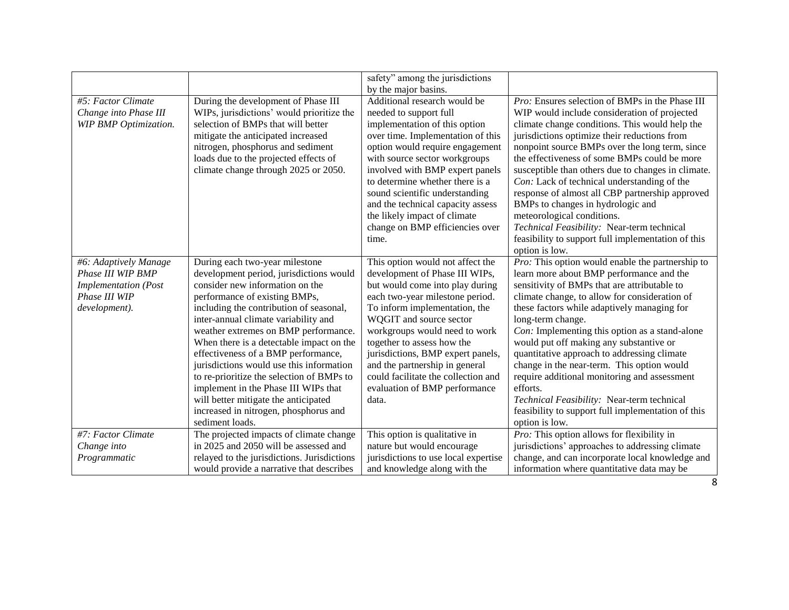|                              |                                             | safety" among the jurisdictions      |                                                    |
|------------------------------|---------------------------------------------|--------------------------------------|----------------------------------------------------|
|                              |                                             | by the major basins.                 |                                                    |
| #5: Factor Climate           | During the development of Phase III         | Additional research would be         | Pro: Ensures selection of BMPs in the Phase III    |
| Change into Phase III        | WIPs, jurisdictions' would prioritize the   | needed to support full               | WIP would include consideration of projected       |
| <b>WIP BMP Optimization.</b> | selection of BMPs that will better          | implementation of this option        | climate change conditions. This would help the     |
|                              | mitigate the anticipated increased          | over time. Implementation of this    | jurisdictions optimize their reductions from       |
|                              | nitrogen, phosphorus and sediment           | option would require engagement      | nonpoint source BMPs over the long term, since     |
|                              | loads due to the projected effects of       | with source sector workgroups        | the effectiveness of some BMPs could be more       |
|                              | climate change through 2025 or 2050.        | involved with BMP expert panels      | susceptible than others due to changes in climate. |
|                              |                                             | to determine whether there is a      | Con: Lack of technical understanding of the        |
|                              |                                             | sound scientific understanding       | response of almost all CBP partnership approved    |
|                              |                                             | and the technical capacity assess    | BMPs to changes in hydrologic and                  |
|                              |                                             | the likely impact of climate         | meteorological conditions.                         |
|                              |                                             | change on BMP efficiencies over      | Technical Feasibility: Near-term technical         |
|                              |                                             | time.                                | feasibility to support full implementation of this |
|                              |                                             |                                      | option is low.                                     |
| #6: Adaptively Manage        | During each two-year milestone              | This option would not affect the     | Pro: This option would enable the partnership to   |
| Phase III WIP BMP            | development period, jurisdictions would     | development of Phase III WIPs,       | learn more about BMP performance and the           |
| <b>Implementation</b> (Post  | consider new information on the             | but would come into play during      | sensitivity of BMPs that are attributable to       |
| Phase III WIP                | performance of existing BMPs,               | each two-year milestone period.      | climate change, to allow for consideration of      |
| development).                | including the contribution of seasonal,     | To inform implementation, the        | these factors while adaptively managing for        |
|                              | inter-annual climate variability and        | WQGIT and source sector              | long-term change.                                  |
|                              | weather extremes on BMP performance.        | workgroups would need to work        | Con: Implementing this option as a stand-alone     |
|                              | When there is a detectable impact on the    | together to assess how the           | would put off making any substantive or            |
|                              | effectiveness of a BMP performance,         | jurisdictions, BMP expert panels,    | quantitative approach to addressing climate        |
|                              | jurisdictions would use this information    | and the partnership in general       | change in the near-term. This option would         |
|                              | to re-prioritize the selection of BMPs to   | could facilitate the collection and  | require additional monitoring and assessment       |
|                              | implement in the Phase III WIPs that        | evaluation of BMP performance        | efforts.                                           |
|                              | will better mitigate the anticipated        | data.                                | Technical Feasibility: Near-term technical         |
|                              | increased in nitrogen, phosphorus and       |                                      | feasibility to support full implementation of this |
|                              | sediment loads.                             |                                      | option is low.                                     |
| #7: Factor Climate           | The projected impacts of climate change     | This option is qualitative in        | $Pro:$ This option allows for flexibility in       |
| Change into                  | in 2025 and 2050 will be assessed and       | nature but would encourage           | jurisdictions' approaches to addressing climate    |
| Programmatic                 | relayed to the jurisdictions. Jurisdictions | jurisdictions to use local expertise | change, and can incorporate local knowledge and    |
|                              | would provide a narrative that describes    | and knowledge along with the         | information where quantitative data may be         |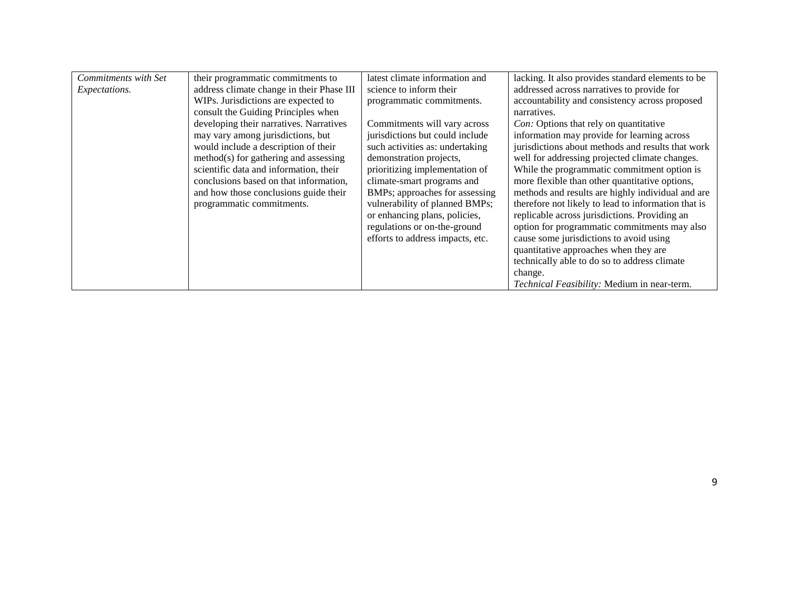| Commitments with Set | their programmatic commitments to         | latest climate information and   | lacking. It also provides standard elements to be   |
|----------------------|-------------------------------------------|----------------------------------|-----------------------------------------------------|
| Expectations.        | address climate change in their Phase III | science to inform their          | addressed across narratives to provide for          |
|                      | WIPs. Jurisdictions are expected to       | programmatic commitments.        | accountability and consistency across proposed      |
|                      | consult the Guiding Principles when       |                                  | narratives.                                         |
|                      | developing their narratives. Narratives   | Commitments will vary across     | Con: Options that rely on quantitative              |
|                      | may vary among jurisdictions, but         | jurisdictions but could include  | information may provide for learning across         |
|                      | would include a description of their      | such activities as: undertaking  | jurisdictions about methods and results that work   |
|                      | method(s) for gathering and assessing     | demonstration projects,          | well for addressing projected climate changes.      |
|                      | scientific data and information, their    | prioritizing implementation of   | While the programmatic commitment option is         |
|                      | conclusions based on that information,    | climate-smart programs and       | more flexible than other quantitative options,      |
|                      | and how those conclusions guide their     | BMPs; approaches for assessing   | methods and results are highly individual and are   |
|                      | programmatic commitments.                 | vulnerability of planned BMPs;   | therefore not likely to lead to information that is |
|                      |                                           | or enhancing plans, policies,    | replicable across jurisdictions. Providing an       |
|                      |                                           | regulations or on-the-ground     | option for programmatic commitments may also        |
|                      |                                           | efforts to address impacts, etc. | cause some jurisdictions to avoid using             |
|                      |                                           |                                  | quantitative approaches when they are               |
|                      |                                           |                                  | technically able to do so to address climate        |
|                      |                                           |                                  | change.                                             |
|                      |                                           |                                  | Technical Feasibility: Medium in near-term.         |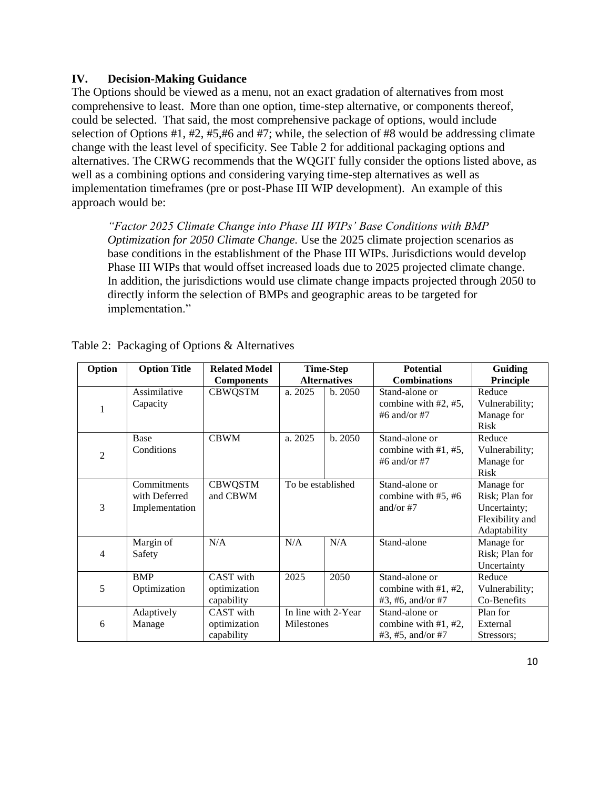#### **IV. Decision-Making Guidance**

The Options should be viewed as a menu, not an exact gradation of alternatives from most comprehensive to least. More than one option, time-step alternative, or components thereof, could be selected. That said, the most comprehensive package of options, would include selection of Options #1, #2, #5,#6 and #7; while, the selection of #8 would be addressing climate change with the least level of specificity. See Table 2 for additional packaging options and alternatives. The CRWG recommends that the WQGIT fully consider the options listed above, as well as a combining options and considering varying time-step alternatives as well as implementation timeframes (pre or post-Phase III WIP development). An example of this approach would be:

*"Factor 2025 Climate Change into Phase III WIPs' Base Conditions with BMP Optimization for 2050 Climate Change.* Use the 2025 climate projection scenarios as base conditions in the establishment of the Phase III WIPs. Jurisdictions would develop Phase III WIPs that would offset increased loads due to 2025 projected climate change. In addition, the jurisdictions would use climate change impacts projected through 2050 to directly inform the selection of BMPs and geographic areas to be targeted for implementation."

| Option         | <b>Option Title</b>                            | <b>Related Model</b>                    | <b>Time-Step</b>    |                     | <b>Potential</b>                                              | <b>Guiding</b>                                                                  |
|----------------|------------------------------------------------|-----------------------------------------|---------------------|---------------------|---------------------------------------------------------------|---------------------------------------------------------------------------------|
|                |                                                | <b>Components</b>                       | <b>Alternatives</b> |                     | <b>Combinations</b>                                           | <b>Principle</b>                                                                |
| 1              | Assimilative<br>Capacity                       | <b>CBWQSTM</b>                          | a. 2025             | b. 2050             | Stand-alone or<br>combine with #2, #5,<br>#6 and/or #7        | Reduce<br>Vulnerability;<br>Manage for<br>Risk                                  |
| $\overline{c}$ | Base<br>Conditions                             | <b>CBWM</b>                             | a. 2025             | b.2050              | Stand-alone or<br>combine with $#1, #5,$<br>#6 and/or #7      | Reduce<br>Vulnerability;<br>Manage for<br><b>Risk</b>                           |
| 3              | Commitments<br>with Deferred<br>Implementation | <b>CBWQSTM</b><br>and CBWM              | To be established   |                     | Stand-alone or<br>combine with #5, #6<br>and/or $#7$          | Manage for<br>Risk; Plan for<br>Uncertainty;<br>Flexibility and<br>Adaptability |
| 4              | Margin of<br>Safety                            | N/A                                     | N/A                 | N/A                 | Stand-alone                                                   | Manage for<br>Risk; Plan for<br>Uncertainty                                     |
| 5              | <b>BMP</b><br>Optimization                     | CAST with<br>optimization<br>capability | 2025                | 2050                | Stand-alone or<br>combine with $#1, #2,$<br>#3, #6, and/or #7 | Reduce<br>Vulnerability;<br>Co-Benefits                                         |
| 6              | Adaptively<br>Manage                           | CAST with<br>optimization<br>capability | <b>Milestones</b>   | In line with 2-Year | Stand-alone or<br>combine with #1, #2,<br>#3, #5, and/or #7   | Plan for<br>External<br>Stressors;                                              |

|  |  |  |  | Table 2: Packaging of Options & Alternatives |
|--|--|--|--|----------------------------------------------|
|--|--|--|--|----------------------------------------------|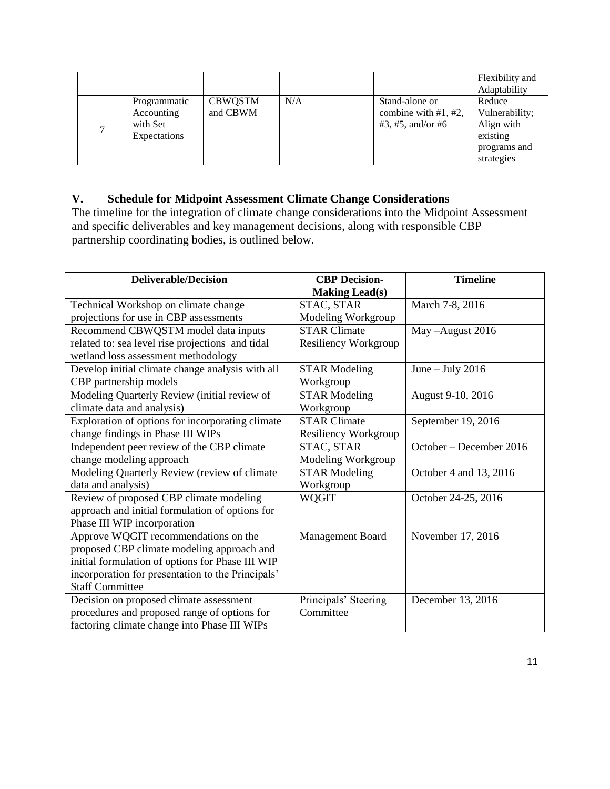|              |                |     |                        | Flexibility and |
|--------------|----------------|-----|------------------------|-----------------|
|              |                |     |                        | Adaptability    |
| Programmatic | <b>CBWQSTM</b> | N/A | Stand-alone or         | Reduce          |
| Accounting   | and CBWM       |     | combine with $#1, #2,$ | Vulnerability;  |
| with Set     |                |     | #3, #5, and/or #6      | Align with      |
| Expectations |                |     |                        | existing        |
|              |                |     |                        | programs and    |
|              |                |     |                        | strategies      |

# **V. Schedule for Midpoint Assessment Climate Change Considerations**

The timeline for the integration of climate change considerations into the Midpoint Assessment and specific deliverables and key management decisions, along with responsible CBP partnership coordinating bodies, is outlined below.

| <b>Deliverable/Decision</b>                       | <b>CBP</b> Decision-  | <b>Timeline</b>         |
|---------------------------------------------------|-----------------------|-------------------------|
|                                                   | <b>Making Lead(s)</b> |                         |
| Technical Workshop on climate change              | STAC, STAR            | March 7-8, 2016         |
| projections for use in CBP assessments            | Modeling Workgroup    |                         |
| Recommend CBWQSTM model data inputs               | <b>STAR Climate</b>   | May -August 2016        |
| related to: sea level rise projections and tidal  | Resiliency Workgroup  |                         |
| wetland loss assessment methodology               |                       |                         |
| Develop initial climate change analysis with all  | <b>STAR Modeling</b>  | June $-$ July 2016      |
| CBP partnership models                            | Workgroup             |                         |
| Modeling Quarterly Review (initial review of      | <b>STAR Modeling</b>  | August 9-10, 2016       |
| climate data and analysis)                        | Workgroup             |                         |
| Exploration of options for incorporating climate  | <b>STAR Climate</b>   | September 19, 2016      |
| change findings in Phase III WIPs                 | Resiliency Workgroup  |                         |
| Independent peer review of the CBP climate        | STAC, STAR            | October - December 2016 |
| change modeling approach                          | Modeling Workgroup    |                         |
| Modeling Quarterly Review (review of climate      | <b>STAR Modeling</b>  | October 4 and 13, 2016  |
| data and analysis)                                | Workgroup             |                         |
| Review of proposed CBP climate modeling           | <b>WQGIT</b>          | October 24-25, 2016     |
| approach and initial formulation of options for   |                       |                         |
| Phase III WIP incorporation                       |                       |                         |
| Approve WQGIT recommendations on the              | Management Board      | November 17, 2016       |
| proposed CBP climate modeling approach and        |                       |                         |
| initial formulation of options for Phase III WIP  |                       |                         |
| incorporation for presentation to the Principals' |                       |                         |
| <b>Staff Committee</b>                            |                       |                         |
| Decision on proposed climate assessment           | Principals' Steering  | December 13, 2016       |
| procedures and proposed range of options for      | Committee             |                         |
| factoring climate change into Phase III WIPs      |                       |                         |